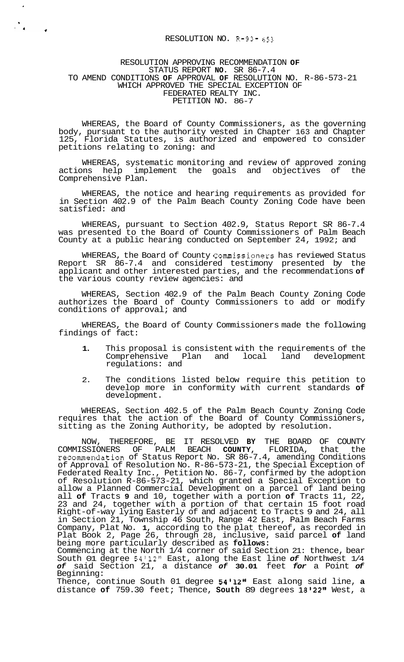## RESOLUTION NO. R-93- 653

 $\hat{\boldsymbol{r}}$ 

## RESOLUTION APPROVING RECOMMENDATION **OF**  STATUS REPORT **NO.** SR 86-7.4 TO AMEND CONDITIONS **OF** APPROVAL **OF** RESOLUTION NO. R-86-573-21 WHICH APPROVED THE SPECIAL EXCEPTION OF FEDERATED REALTY INC. PETITION NO. 86-7

WHEREAS, the Board of County Commissioners, as the governing body, pursuant to the authority vested in Chapter 163 and Chapter 125, Florida Statutes, is authorized and empowered to consider petitions relating to zoning: and

WHEREAS, systematic monitoring and review of approved zoning actions help implement the goals and objectives of the Comprehensive Plan.

WHEREAS, the notice and hearing requirements as provided for in Section 402.9 of the Palm Beach County Zoning Code have been satisfied: and

WHEREAS, pursuant to Section 402.9, Status Report SR 86-7.4 was presented to the Board of County Commissioners of Palm Beach County at a public hearing conducted on September 24, 1992; and

WHEREAS, the Board of County Commissioners has reviewed Status Report SR 86-7.4 and considered testimony presented by the applicant and other interested parties, and the recommendations **of**  the various county review agencies: and

WHEREAS, Section 402.9 of the Palm Beach County Zoning Code authorizes the Board of County Commissioners to add or modify conditions of approval; and

WHEREAS, the Board of County Commissioners made the following findings of fact:

- **1.** This proposal is consistent with the requirements of the Comprehensive Plan and local land development regulations: and
- 2. The conditions listed below require this petition to develop more in conformity with current standards **of**  development.

WHEREAS, Section 402.5 of the Palm Beach County Zoning Code requires that the action of the Board of County Commissioners, sitting as the Zoning Authority, be adopted by resolution.

NOW, THEREFORE, BE IT RESOLVED **BY** THE BOARD OF COUNTY COMMISSIONERS OF PALM BEACH **COUNTY,** FLORIDA, that the recommendation of Status Report No. SR 86-7.4, amending Conditions of Approval of Resolution No. R-86-573-21, the Special Exception of Federated Realty Inc., Petition No. 86-7, confirmed by the adoption of Resolution R-86-573-21, which granted a Special Exception to allow a Planned Commercial Development on a parcel of land being all **of** Tracts **9** and 10, together with a portion **of** Tracts 11, 22, 23 and 24, together with a portion of that certain 15 foot road Right-of-way lying Easterly of and adjacent to Tracts 9 and 24, all in Section 21, Township 46 South, Range 42 East, Palm Beach Farms Company, Plat No. **1,** according to the plat thereof, as recorded in Plat Book 2, Page 26, through 28, inclusive, said parcel **of** land being more particularly described as **follows:** 

Commencing at the North 1/4 corner of said Section 21: thence, bear South 01 degree 54'12" East, along the East line *of* Northwest 1/4 *of* said Section 21, a distance *of* **30.01** feet *for* a Point *of*  Beginning:

Thence, continue South 01 degree 54'12" East along said line, a distance **of** 759.30 feet; Thence, **South** 89 degrees 18I22l' West, a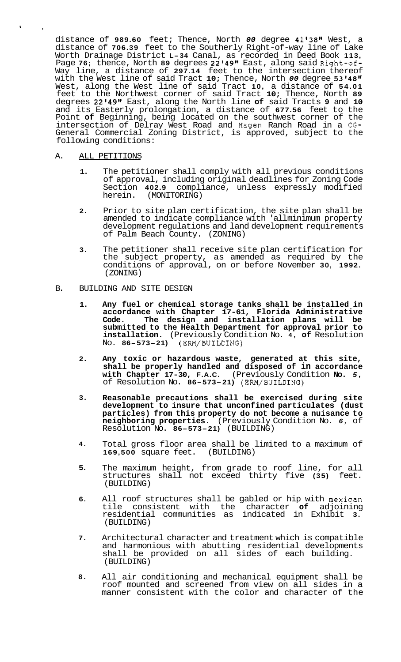distance of **989.60** feet; Thence, North *00* degree **4113811** West, a distance of **706.39** feet to the Southerly Right-of-way line of Lake Worth Drainage District **L-34** Canal, as recorded in Deed Book **113,**  Page **76;** thence, North **89** degrees **2214911** East, along said Right-of-Way line, a distance of **297.14** feet to the intersection thereof with the West line of said Tract **10;** Thence, North *00* degree **53'4811**  West, along the West line of said Tract **10,** a distance of **54.01**  feet to the Northwest corner of said Tract **10;** Thence, North **89**  degrees **22I49l1** East, along the North line **of** said Tracts **9** and **10**  and its Easterly prolongation, a distance of **677.56** feet to the Point **of** Beginning, being located on the southwest corner of the intersection of Delray West Road and Hagen Ranch Road in a CG-General Commercial Zoning District, is approved, subject to the following conditions:

## A. ALL PETITIONS

\* **<sup>e</sup>**

- **1.** The petitioner shall comply with all previous conditions of approval, including original deadlines for Zoning Code Section **402.9** compliance, unless expressly modified herein. (MONITORING) (MONITORING)
- **2.** Prior to site plan certification, the site plan shall be amended to indicate compliance with 'allminimum property development regulations and land development requirements of Palm Beach County. (ZONING)
- **3.** The petitioner shall receive site plan certification for the subject property, as amended as required by the conditions of approval, on or before November **30, 1992.**  (ZONING)

## B. BUILDING AND SITE DESIGN

- **1. Any fuel or chemical storage tanks shall be installed in accordance with Chapter 17-61, Florida Administrative Code. The design and installation plans will be submitted to the Health Department for approval prior to installation.** (Previously Condition No. **4, of** Resolution No. **86-573-21)** (ERM/BUILDING)
- **2. Any toxic or hazardous waste, generated at this site, shall be properly handled and disposed of in accordance with Chapter 17-30, F.A.C.** (Previously Condition **No.** *5,*  of Resolution No. **86-573-21)** (ERM/BUILDING)
- **3. Reasonable precautions shall be exercised during site development to insure that unconfined particulates (dust particles) from this property do not become a nuisance to neighboring properties.** (Previously Condition No. *6,* of Resolution No. **86-573-21)** (BUILDING)
- **4.**  Total gross floor area shall be limited to a maximum of 169,500 square feet. (BUILDING) **169,500** square feet.
- **5.**  The maximum height, from grade to roof line, for all structures shall not exceed thirty five **(35)** feet. (BUILDING)
- **6.**  All roof structures shall be gabled or hip with mexican tile consistent with the character **of** adjoining residential communities as indicated in Exhibit **3.**  (BUILDING)
- **7.**  Architectural character and treatment which is compatible and harmonious with abutting residential developments shall be provided on all sides of each building. (BUILDING)
- **8.**  All air conditioning and mechanical equipment shall be roof mounted and screened from view on all sides in a manner consistent with the color and character of the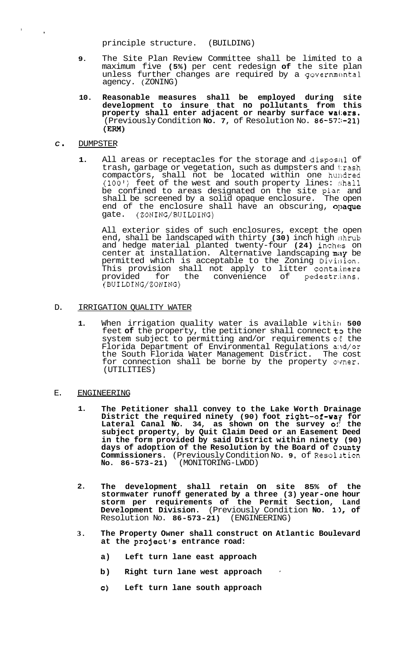principle structure. (BUILDING)

- **9.** The Site Plan Review Committee shall be limited to a maximum five **(5%)** per cent redesign **of** the site plan unless further changes are required by a governmental agency. ( ZONING)
- **10. Reasonable measures shall be employed during site development to insure that no pollutants from this property shall enter adjacent or nearby surface wa1:ers.**  (Previously Condition **No. 7,** of Resolution No. **86-57:;-21) (EM)**

### *<sup>C</sup>*. DUMPSTER

**<sup>I</sup>**,

1. All areas or receptacles for the storage and disposal of trash, garbage or vegetation, such as dumpsters and trash compactors, shall not be located within one hundred (100') feet of the west and south property lines:  $$$ hall be confined to areas designated on the site plar and shall be screened by a solid opaque enclosure. The open end of the enclosure shall have an obscuring, opaque gate. (ZONING/BUILDING)

All exterior sides of such enclosures, except the open end, shall be landscaped with thirty **(30)** inch high :;hrub and hedge material planted twenty-four **(24)** inches on center at installation. Alternative landscaping may be permitted which is acceptable to the Zoning Divi $\mathfrak{gl}$ on, This provision shall not apply to litter conta:iners provided for the convenience of pedestr:ians. (BUILDING/ZONING)

# D. **IRRIGATION OUALITY WATER**

**1.** When irrigation quality water is available within **500** feet of the property, the petitioner shall connect to the system subject to permitting and/or requirements of the Florida Department of Environmental Regulations and/or the South Florida Water Management District. The cost for connection shall be borne by the property ovner. (UTILITIES)

### E. ENGINEERING

- **1. The Petitioner shall convey to the Lake Worth Drainage District the required ninety (90) foot right-of-way for**  Lateral Canal No. 34, as shown on the survey oi the **subject property, by Quit Claim Deed or an Easement Deed in the form provided by said District within ninety (90)**  days of adoption of the Resolution by the Board of County **Commissioners.** (Previously Condition No. 9, of Resolution No. 86-573-21) (MONITORING-LWDD) **NO. 86-573-21)** (MONITORING-LWDD)
- **2. The development shall retain on site 85% of the stormwater runoff generated by a three (3) year-one hour storm per requirements of the Permit Section, Land Development Division.** (Previously Condition **No. 10, of** Resolution No. 86-573-21) (ENGINEERING) Resolution No. **86-573-21**)
- **3. The Property Owner shall construct on Atlantic Boulevard at the project's entrance road:** 
	- **a) Left turn lane east approach**
	- **b) Right turn lane west approach** '
	- **c) Left turn lane south approach**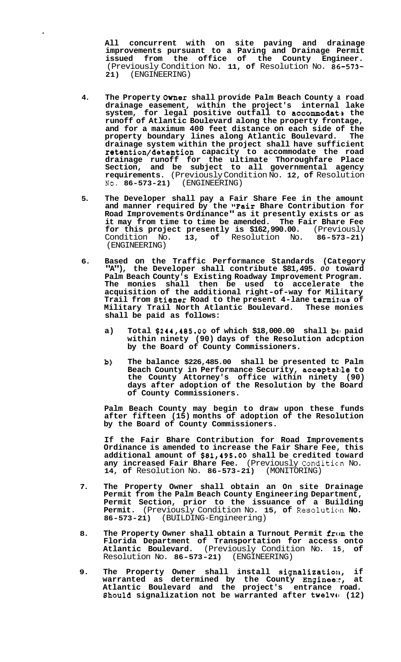**All concurrent with on site paving and drainage improvements pursuant to a Paving and Drainage Permit issued from the office of the County Engineer.**  (Previously Condition No. **11, of** Resolution No. **86-573- 2 1)** (ENGINEERING)

 $\ddot{\phantom{a}}$ 

- **4. The Property Owner shall provide Palm Beach County a road drainage easement, within the project's internal lake system, for legal positive outfall to accommodatls the runoff of Atlantic Boulevard along the property frontage, and for a maximum 400 feet distance on each side of the property boundary lines along Atlantic Boulevard. The drainage system within the project shall have sufficient retention/detention capacity to accommodate the road drainage runoff for the ultimate Thoroughfare Place Section, and be subject to all governmental agency requirements.** (Previously Condition No. **12, of** Resolution No. **86-573-21)** (ENGINEERING)
- **5. The Developer shall pay a Fair Share Fee in the amount and manner required by the "Fair Bhare Contribution for Road Improvements Ordinance" as it presently exists or as it may from time to time be amended. The Fair Bhare Fee for this project presently is \$162,990.00.** (Previously Condition No. **13, of** Resolution No. **86-573-21)**  (ENGINEERING)
- **6. Based on the Traffic Performance Standards (Category "A"), the Developer shall contribute \$81,495.** *00* **toward Palm Beach County's Existing Roadway Improvement Program. The monies shall then be used to accelerate the acquisition of the additional right-of-way for Military Trail from Btiener Road to the present 4-lane termirlus of Military Trail North Atlantic Boulevard. These monies shall be paid as follows:** 
	- **a) Total \$244,485.00 of which \$18,000.00 shall be! paid within ninety (90) days of the Resolution adcption by the Board of County Commissioners.**
	- **b) The balance \$226,485.00 shall be presented tc Palm**  Beach County in Performance Security, acceptable to **the County Attorney's office within ninety (90) days after adoption of the Resolution by the Board of County Commissioners.**

**Palm Beach County may begin to draw upon these funds after fifteen (15) months of adoption of the Resolution by the Board of County Commissioners.** 

**If the Fair Bhare Contribution for Road Improvements Ordinance is amended to increase the Fair Share Fee, this additional amount of \$81,495.00 shall be credited toward any increased Fair Bhare Fee.** (Previously Conditic'n No. **14, of** Resolution No. **86-573-21)** (MONITORING)

- **7. The Property Owner shall obtain an On site Drainage Permit from the Palm Beach County Engineering Department, Permit Section, prior to the issuance of a Building Permit.** (Previously Condition No. 15, of Resolution No. 86-573-21) (BUILDING-Engineering) **86-573-21)** (BUILDING-Engineering)
- **8. The Property Owner shall obtain a Turnout Permit from the Florida Department of Transportation for access onto Atlantic Boulevard.** (Previously Condition No. **15, of**  Resolution No. **86-573-21)** (ENGINEERING)
- 9. The Property Owner shall install signalization, if **warranted as determined by the County Enginee::, at Atlantic Boulevard and the project's entrance road. 8hould signalization not be warranted after twelvrl (12)**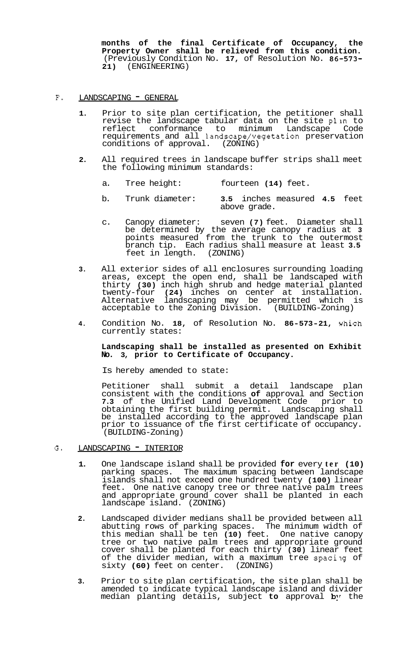**months of the final Certificate of Occupancy, the Property Owner shall be relieved from this condition.**  (Previously Condition No. **17,** of Resolution No. **86-573- 2 1)** (ENGINEERING)

- F. LANDSCAPING  **GENERAL** 
	- **1.** Prior to site plan certification, the petitioner shall revise the landscape tabular data on the site plan to reflect conformance to minimum Landscape Code requirements and all landscape/vegetation preservation conditions of approval. (ZONING)
	- **2.** All required trees in landscape buffer strips shall meet the following minimum standards:
		- a. Tree height: fourteen **(14)** feet.
		- b. Trunk diameter: **3.5** inches measured **4.5** feet above grade.
		- c. Canopy diameter: seven **(7)** feet. Diameter shall be determined by the average canopy radius at **3**  points measured from the trunk to the outermost branch tip. Each radius shall measure at least **3.5**  feet in length.
	- **3.** All exterior sides of all enclosures surrounding loading areas, except the open end, shall be landscaped with thirty **(30)** inch high shrub and hedge material planted twenty-four **(24)** inches on center at installation. Alternative landscaping may be permitted which is acceptable to the Zoning Division. (BUILDING-Zoning)
	- **4.** Condition No. **18,** of Resolution No. **86-573-21,** vhich currently states:

## **Landscaping shall be installed as presented on Exhibit No. 3, prior to Certificate of Occupancy.**

Is hereby amended to state:

Petitioner shall submit a detail landscape plan consistent with the conditions **of** approval and Section **7.3** of the Unified Land Development Code prior to obtaining the first building permit. Landscaping shall be installed according to the approved landscape plan prior to issuance of the first certificate of occupancy. (BUILDING-Zoning)

- G. LANDSCAPING " INTERIOR
	- **1.** One landscape island shall be provided **for** every **ter (10)**  parking spaces. The maximum spacing between landscape islands shall not exceed one hundred twenty **(100)** linear feet. One native canopy tree or three native palm trees and appropriate ground cover shall be planted in each landscape island. (ZONING)
	- **2.** Landscaped divider medians shall be provided between all abutting rows of parking spaces. The minimum width of this median shall be ten **(10)** feet. One native canopy tree or two native palm trees and appropriate ground cover shall be planted for each thirty **(30)** linear feet of the divider median, with a maximum tree spacilg of sixty **(60)** feet on center. (ZONING)
	- **3.** Prior to site plan certification, the site plan shall be amended to indicate typical landscape island and divider median planting details, subject to approval by the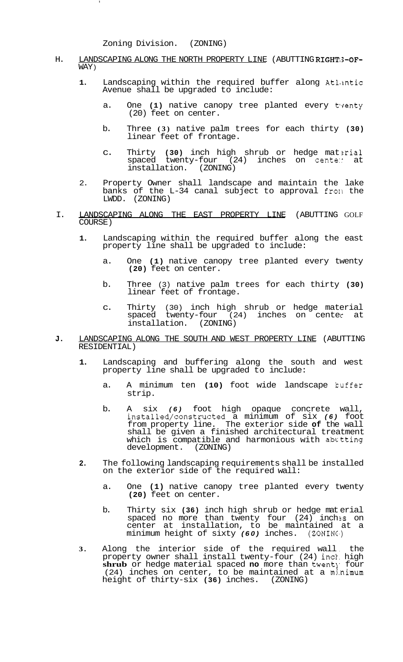Zoning Division. (ZONING)

- H. LANDSCAPING ALONG THE NORTH PROPERTY LINE (ABUTTING RIGHT;3-OF-WAY )
	- **1.** Landscaping within the required buffer along AtLmtic Avenue shall be upgraded to include:
		- a. One (1) native canopy tree planted every tyenty (20) feet on center.
		- b. Three **(3)** native palm trees for each thirty **(30)**  linear feet of frontage.
		- c. Thirty (30) inch high shrub or hedge material<br>spaced twenty-four (24) inches on center at  $spaced$  twenty-four  $(24)$ installation. (ZONING)
	- 2. Property Owner shall landscape and maintain the lake banks of the L-34 canal subject to approval fro11 the LWDD. (ZONING)
- I. LANDSCAPING ALONG THE EAST PROPERTY LINE (ABUTTING GOLF COURSE)
	- **1.** Landscaping within the required buffer along the east property line shall be upgraded to include:
		- a. One **(1)** native canopy tree planted every twenty **(20)** feet on center.
		- b. Three (3) native palm trees for each thirty **(30)**  linear feet of frontage.
		- c. Thirty (30) inch high shrub or hedge material spaced twenty-four (24) inches on center at installation. (ZONING)
- **J.** LANDSCAPING ALONG THE SOUTH AND WEST PROPERTY LINE (ABUTTING RESIDENTIAL)
	- **1.** Landscaping and buffering along the south and west property line shall be upgraded to include:
		- a. A minimum ten **(10)** foot wide landscape kuffer strip.
		- b. A six *(6)* foot high opaque concrete wall, installed/constructed a minimum of six *(6)* foot from property line. The exterior side **of** the wall shall be given a finished architectural treatment which is compatible and harmonious with abttting development. (ZONING)
	- **2.** The following landscaping requirements shall be installed on the exterior side of the required wall:
		- a. One **(1)** native canopy tree planted every twenty **(20)** feet on center.
		- b. Thirty six **(36)** inch high shrub or hedge mat erial spaced no more than twenty four (24) inch **3s** on center at installation, to be maintained at a minimum height of sixty *(60)* inches. (ZONING.)
	- **3.** Along the interior side of the required wall , the property owner shall install twenty-four (24) inck. high **shrub** or hedge material spaced **no** more than twent]. four  $(24)$  inches on center, to be maintained at a minimum height of thirty-six **(36)** inches. (ZONING)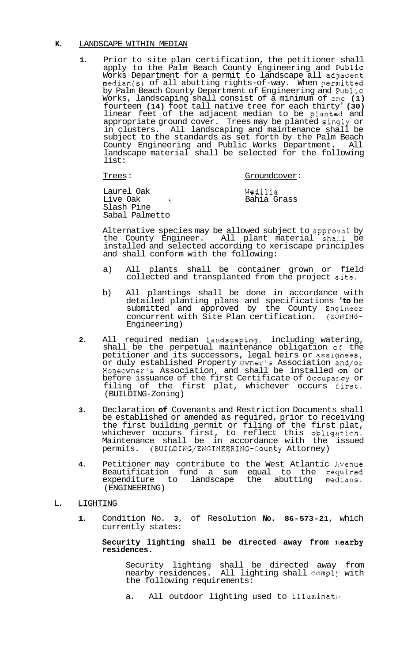## **K.** LANDSCAPE WITHIN MEDIAN

**1.** Prior to site plan certification, the petitioner shall apply to the Palm Beach County Engineering and Elublic Works Department for a permit to landscape all adjacent  $median(s)$  of all abutting rights-of-way. When permitted by Palm Beach County Department of Engineering and Fublic Works, landscaping shall consist of a minimum of one **(1)**  fourteen **(14)** foot tall native tree for each thirty' **(30)**  linear feet of the adjacent median to be planted and appropriate ground cover. Trees may be planted sinqly or in clusters. All landscaping and maintenance shall be subject to the standards as set forth by the Palm Beach County Engineering and Public Works Department. All landscape material shall be selected for the following list:

### Trees: Groundcover:

Laurel Oak Live Oak ! Slash Pine Sabal Palmetto Wedilia Bahia Grass

Alternative species may be allowed subject to approval by the County Engineer. All plant material shall be installed and selected according to xeriscape principles and shall conform with the following:

- a) All plants shall be container grown or field collected and transplanted from the project site.
- b) All plantings shall be done in accordance with detailed planting plans and specifications **'to** be submitted and approved by the County Engineer concurrent with Site Plan certification. (ZONING-Engineering)
- **2.** All required median landscaping, including watering, shall be the perpetual maintenance obligation *o:€* the petitioner and its successors, legal heirs or assiqnees, or duly established Property Owner's Association and/or Homeowner's Association, and shall be installed on or before issuance of the first Certificate of Occuparcy or filing of the first plat, whichever occurs first. (BUILDING-Zoning)
- **3.** Declaration **of** Covenants and Restriction Documents shall be established or amended as required, prior to receiving the first building permit or filing of the first plat, whichever occurs first, to reflect this obligation. Maintenance shall be in accordance with the issued permits. **(BUILDING/ENGINEERING-County** Attorney)
- **4.** Petitioner may contribute to the West Atlantic Avenue Beautification fund a sum equal to the required expenditure to landscape the abutting medians. (ENGINEERING)

#### L. LIGHTING

**1.** Condition No. **3,** of Resolution **No. 86-573-21,** which currently states:

## Security lighting shall be directed away from nearby **residences.**

Security lighting shall be directed away from nearby residences. All lighting shall comply with the following requirements:

a. All outdoor lighting used to illuminate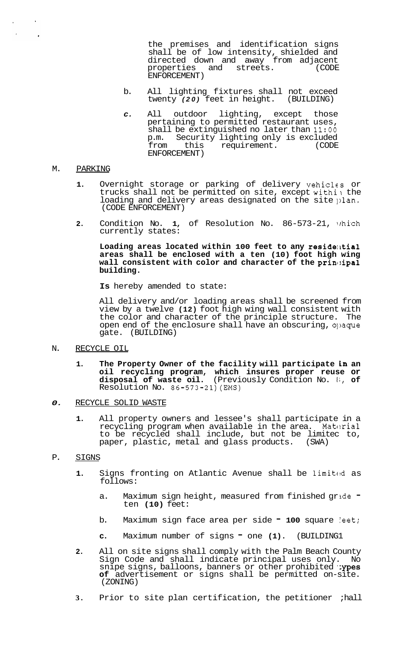the premises and identification signs shall be of low intensity, shielded and directed down and away from adjacent<br>properties and streets. (CODE properties and streets. ENFORCEMENT)

- b. All lighting fixtures shall not exceed<br>twenty (20) feet in height. (BUILDING) twenty (20) feet in height.
- *c.* All outdoor lighting, except those pertaining to permitted restaurant uses, shall be extinguished no later than 11:00<br>p.m. Security lighting only is excluded p.m. Security lighting only is excluded<br>from this requirement. (CODE requirement. ENFORCEMENT)

### M. PARKING

- **1.** Overnight storage or parking of delivery vehicles or trucks shall not be permitted on site, except within the loading and delivery areas designated on the site plan. (CODE ENFORCEMENT)
- 2. Condition No. 1, of Resolution No. 86-573-21, which currently states:

Loading areas located within 100 feet to any residential **areas shall be enclosed with a ten (10) foot high wing wall consistent with color and character of the prin1:ipal building.** 

**Is** hereby amended to state:

All delivery and/or loading areas shall be screened from view by a twelve **(12)** foot high wing wall consistent with the color and character of the principle structure. The open end of the enclosure shall have an obscuring, 01)aque gate. (BUILDING)

- N. RECYCLE OIL
	- **1. The Property Owner of the facility will participate in an oil recycling program, which insures proper reuse or disposal of waste oil.** (Previously Condition No. **I;, of**  disposal of waste oil. (Previ<br>Resolution No. 86-573-21)(EMS)
- *0.* RECYCLE SOLID WASTE
	- **1.** All property owners and lessee's shall participate in a recycling program when available in the area. Material to be recycled shall include, but not be limited to,<br>paper, plastic, metal and glass products. (SWA) paper, plastic, metal and glass products.

## P. SIGNS

- 1. Signs fronting on Atlantic Avenue shall be limited as follows:
	- a. Maximum sign height, measured from finished gride ten **(10)** feet:
	- b. Maximum sign face area per side " 100 square feet;
	- **c.** Maximum number of signs one **(1).** (BUILDING1
- **2.** All on site signs shall comply with the Palm Beach County Sign Code and shall indicate principal uses only. No snipe signs, balloons, banners or other prohibited :ypes **of** advertisement or signs shall be permitted on-site. (ZONING)
- **3.** Prior to site plan certification, the petitioner ;hall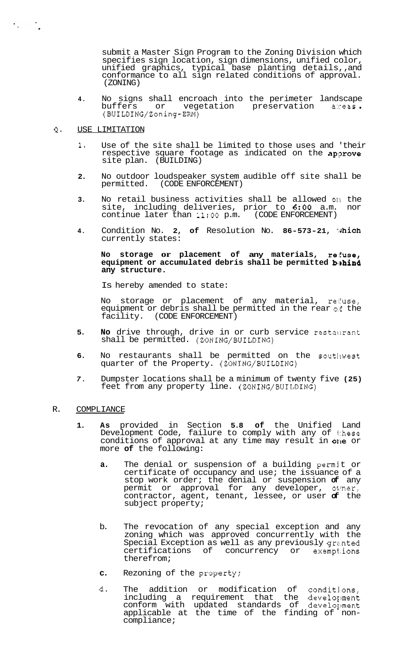submit a Master Sign Program to the Zoning Division which specifies sign location, sign dimensions, unified color, unified graphics, typical base planting details,, and conformance to all sign related conditions of approval. (ZONING)

- **4.** No signs shall encroach into the perimeter landscape<br>buffers or vegetation preservation areas.<br>(BUILDING/Zoning-ERM)
- **Q.** USE LIMITATION

 $\label{eq:2} \mathcal{F}_{\mathcal{A}}(x) = \mathcal{F}_{\mathcal{A}}(x)$ 

- **1.** Use of the site shall be limited to those uses and 'their respective square footage as indicated on the approve site plan. (BUILDING)
- **2.** No outdoor loudspeaker system audible off site shall be permitted. (CODE ENFORCEMENT)
- **3.** No retail business activities shall be allowed on the site, including deliveries, prior to **6:00** a.m. nor site, including deliveries, prior to **6:OO** a.m. nor continue later than **11:OO** p.m. (CODE ENFORCEMENT)
- 4. Condition No. 2, of Resolution No. 86-573-21, which currently states:

# **NO storage or placement of any materials, re:€use,**  equipment or accumulated debris shall be permitted **b**.hind **any structure.**

Is hereby amended to state:

No storage or placement of any material, reluse, equipment or debris shall be permitted in the rear of the facility. (CODE ENFORCEMENT)

- **5. No** drive through, drive in or curb service restallrant shall be permitted. (ZONING/BUILDING)
- 6. No restaurants shall be permitted on the southwest quarter of the Property. (ZONING/BUILDING)
- *7.* Dumpster locations shall be a minimum of twenty five **(25)**  feet from any property line. (ZONING/BUILDING)

## R. COMPLIANCE

- **1. As** provided in Section **5.8 of** the Unified Land Development Code, failure to comply with any of these conditions of approval at any time may result in one or more **of** the following:
	- **a.** The denial or suspension of a building permit or certificate of occupancy and use; the issuance of a stop work order; the denial or suspension **of** any permit or approval for any developer, owner, contractor, agent, tenant, lessee, or user **of** the subject property;
	- b. The revocation of any special exception and any zoning which was approved concurrently with the Special Exception as well as any previously granted certifications of concurrency or exempt'ions therefrom;
	- **c.** Rezoning of the property;
	- **d.** The addition or modification of conditj.ons, including a requirement that the development conform with updated standards of development applicable at the time of the finding of non- compliance;